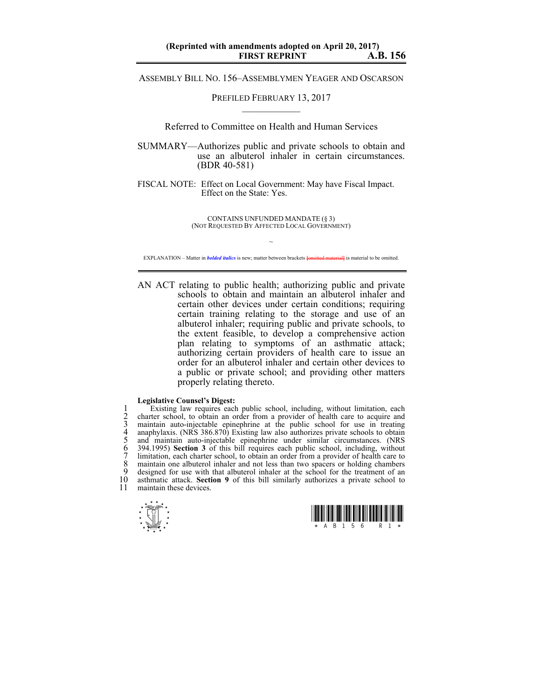ASSEMBLY BILL NO. 156–ASSEMBLYMEN YEAGER AND OSCARSON

PREFILED FEBRUARY 13, 2017  $\mathcal{L}_\text{max}$ 

Referred to Committee on Health and Human Services

SUMMARY—Authorizes public and private schools to obtain and use an albuterol inhaler in certain circumstances. (BDR 40-581)

FISCAL NOTE: Effect on Local Government: May have Fiscal Impact. Effect on the State: Yes.

> CONTAINS UNFUNDED MANDATE (§ 3) (NOT REQUESTED BY AFFECTED LOCAL GOVERNMENT)

 $\sim$ EXPLANATION – Matter in *bolded italics* is new; matter between brackets **[**omitted material**]** is material to be omitted.

AN ACT relating to public health; authorizing public and private schools to obtain and maintain an albuterol inhaler and certain other devices under certain conditions; requiring certain training relating to the storage and use of an albuterol inhaler; requiring public and private schools, to the extent feasible, to develop a comprehensive action plan relating to symptoms of an asthmatic attack; authorizing certain providers of health care to issue an order for an albuterol inhaler and certain other devices to a public or private school; and providing other matters properly relating thereto.

## **Legislative Counsel's Digest:**

Existing law requires each public school, including, without limitation, each<br>
charter school, to obtain an order from a provider of health care to acquire and<br>
maintain auto-injectable epinephrine at the public school for charter school, to obtain an order from a provider of health care to acquire and 3 maintain auto-injectable epinephrine at the public school for use in treating 4 anaphylaxis. (NRS 386.870) Existing law also authorizes private schools to obtain 5 and maintain auto-injectable epinephrine under similar circumstances. (NRS 6 394.1995) **Section 3** of this bill requires each public school, including, without limitation, each charter school, to obtain an order from a provider of health care to maintain one albuterol inhaler and not less than two spacers or holding chambers 9 designed for use with that albuterol inhaler at the school for the treatment of an asthmatic attack **Section 9** of this bill similarly authorizes a private school to 10 asthmatic attack. **Section 9** of this bill similarly authorizes a private school to maintain these devices.



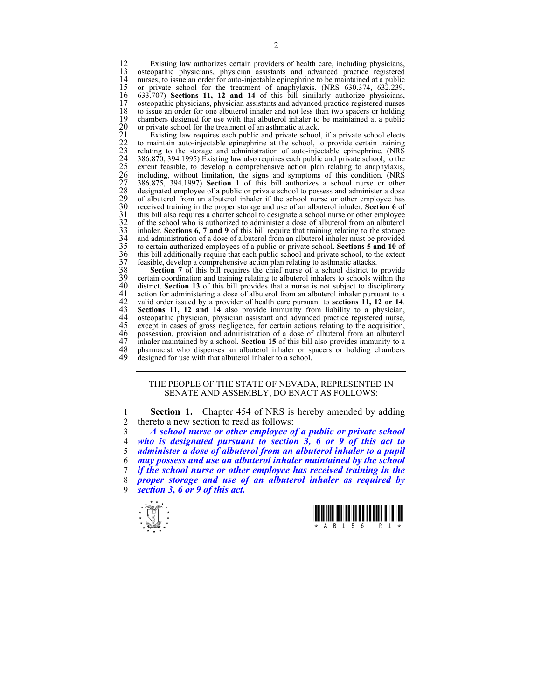12 Existing law authorizes certain providers of health care, including physicians,<br>13 osteopathic physicians physician assistants and advanced practice registered 13 osteopathic physicians, physician assistants and advanced practice registered 14 nurses, to issue an order for auto-injectable epinephrine to be maintained at a public 15 or private school for the treatment of anaphylaxis. (NRS 630.374, 632.239, 16 633.707) Sections 11, 12 and 14 of this bill similarly authorize physicians. 16 633.707) **Sections 11, 12 and 14** of this bill similarly authorize physicians, 17 osteopathic physicians, physician assistants and advanced practice registered nurses<br>18 to issue an order for one albuterol inhaler and not less than two spacers or holding 18 to issue an order for one albuterol inhaler and not less than two spacers or holding<br>19 chambers designed for use with that albuterol inhaler to be maintained at a public or private school for the treatment of an asthmatic attack.

19 chambers designed for use with that albuterol inhaler to be maintained at a public<br>
21 cr private school for the treatment of an asthmatic atack.<br>
21 Existing law requires each public and private school, if a private sc Existing law requires each public and private school, if a private school elects to maintain auto-injectable epinephrine at the school, to provide certain training 23 relating to the storage and administration of auto-injectable epinephrine. (NRS 24 386.870, 394.1995) Existing law also requires each public and private school, to the extent feasible, to develop a comprehensive action plan relating to anaphylaxis, including, without limitation, the signs and symptoms of this condition. (NRS 27 386.875, 394.1997) **Section 1** of this bill authorizes a school nurse or other 28 designated employee of a public or private school to possess and administer a dose of albuterol from an albuterol inhaler if the school nurse or other employee has 30 received training in the proper storage and use of an albuterol inhaler. **Section 6** of 31 this bill also requires a charter school to designate a school nurse or other employee of the school who is authorized to administer a dose of albuterol from an albuterol inhaler. **Sections 6, 7 and 9** of this bill require that training relating to the storage and administration of a dose of albuterol from an albuterol inhaler must be provided 35 to certain authorized employees of a public or private school. **Sections 5 and 10** of 36 this bill additionally require that each public school and private school, to the extent feasible, develop a comprehensive action plan relating to asthmatic attacks.

**Section 7** of this bill requires the chief nurse of a school district to provide 39 certain coordination and training relating to albuterol inhalers to schools within the district. Section 13 of this bill provides that a nurse is not subject to disciplinary 40 district. **Section 13** of this bill provides that a nurse is not subject to disciplinary 41 action for administering a dose of albuterol from an albuterol inhaler pursuant to a 42 valid order issued by a provider of health care pursuant to **sections 11, 12 or 14**. 42 valid order issued by a provider of health care pursuant to **sections 11, 12 or 14**.<br>43 **Sections 11, 12 and 14** also provide immunity from liability to a physician. 43 **Sections 11, 12 and 14** also provide immunity from liability to a physician, 44 osteopathic physician, physician assistant and advanced practice registered nurse. 44 osteopathic physician, physician assistant and advanced practice registered nurse, except in cases of gross negligence, for certain actions relating to the acquisition, 45 except in cases of gross negligence, for certain actions relating to the acquisition, 46 possession, provision and administration of a dose of albuterol from an albuterol 46 possession, provision and administration of a dose of albuterol from an albuterol 47 inhaler maintained by a school. **Section 15** of this bill also provides immunity to a 47 inhaler maintained by a school. **Section 15** of this bill also provides immunity to a 48 pharmacist who dispenses an albuterol inhaler or spacers or holding chambers 49 designed for use with that albuterol inhaler to a school. designed for use with that albuterol inhaler to a school.

## THE PEOPLE OF THE STATE OF NEVADA, REPRESENTED IN SENATE AND ASSEMBLY, DO ENACT AS FOLLOWS:

1 **Section 1.** Chapter 454 of NRS is hereby amended by adding 2 thereto a new section to read as follows:

*A school nurse or other employee of a public or private school*  who is designated pursuant to section 3, 6 or 9 of this act to *administer a dose of albuterol from an albuterol inhaler to a pupil may possess and use an albuterol inhaler maintained by the school if the school nurse or other employee has received training in the proper storage and use of an albuterol inhaler as required by section 3, 6 or 9 of this act.* 



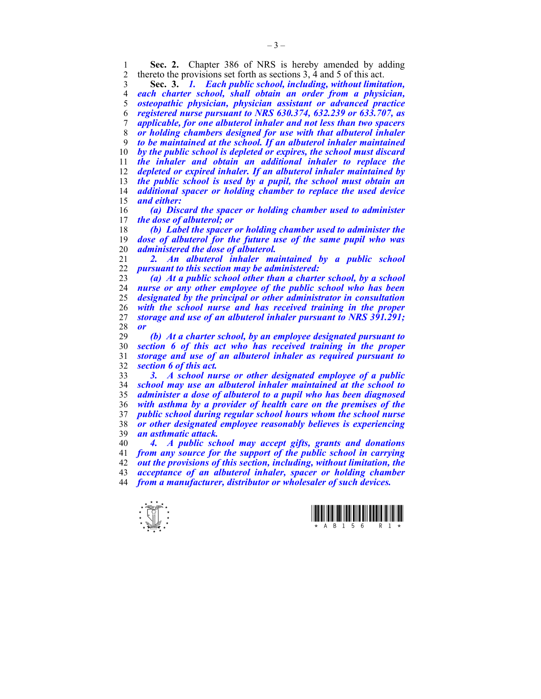1 **Sec. 2.** Chapter 386 of NRS is hereby amended by adding thereto the provisions set forth as sections 3 4 and 5 of this act thereto the provisions set forth as sections ,  $\overline{4}$  and  $\overline{5}$  of this act.

**Sec. 3.** *1. Each public school, including, without limitation, each charter school, shall obtain an order from a physician, osteopathic physician, physician assistant or advanced practice registered nurse pursuant to NRS 630.374, 632.239 or 633.707, as applicable, for one albuterol inhaler and not less than two spacers or holding chambers designed for use with that albuterol inhaler to be maintained at the school. If an albuterol inhaler maintained by the public school is depleted or expires, the school must discard the inhaler and obtain an additional inhaler to replace the depleted or expired inhaler. If an albuterol inhaler maintained by the public school is used by a pupil, the school must obtain an additional spacer or holding chamber to replace the used device and either:* 

*(a) Discard the spacer or holding chamber used to administer the dose of albuterol; or* 

*(b) Label the spacer or holding chamber used to administer the dose of albuterol for the future use of the same pupil who was administered the dose of albuterol.* 

*2. An albuterol inhaler maintained by a public school pursuant to this section may be administered:* 

*(a) At a public school other than a charter school, by a school nurse or any other employee of the public school who has been designated by the principal or other administrator in consultation with the school nurse and has received training in the proper storage and use of an albuterol inhaler pursuant to NRS 391.291; or* 

*(b) At a charter school, by an employee designated pursuant to section 6 of this act who has received training in the proper storage and use of an albuterol inhaler as required pursuant to section 6 of this act.* 

*3. A school nurse or other designated employee of a public school may use an albuterol inhaler maintained at the school to administer a dose of albuterol to a pupil who has been diagnosed with asthma by a provider of health care on the premises of the public school during regular school hours whom the school nurse or other designated employee reasonably believes is experiencing an asthmatic attack.* 

*4. A public school may accept gifts, grants and donations from any source for the support of the public school in carrying out the provisions of this section, including, without limitation, the acceptance of an albuterol inhaler, spacer or holding chamber from a manufacturer, distributor or wholesaler of such devices.* 



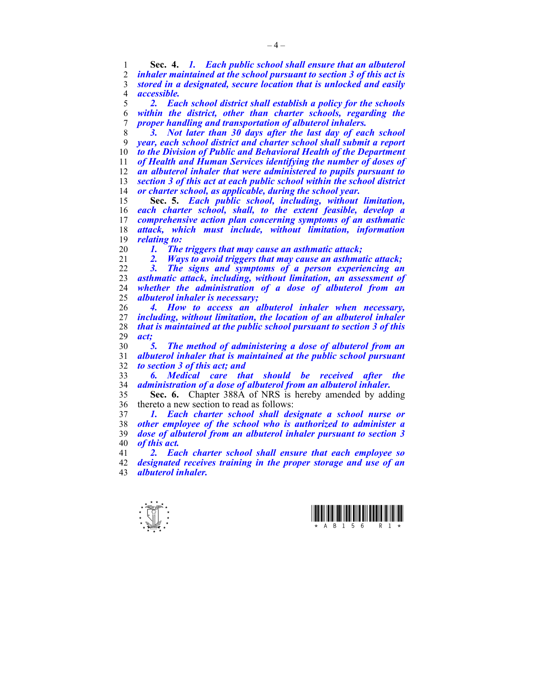**Sec. 4.** *1. Each public school shall ensure that an albuterol inhaler maintained at the school pursuant to section 3 of this act is stored in a designated, secure location that is unlocked and easily accessible.* 

*2. Each school district shall establish a policy for the schools within the district, other than charter schools, regarding the proper handling and transportation of albuterol inhalers.* 

*3. Not later than 30 days after the last day of each school year, each school district and charter school shall submit a report to the Division of Public and Behavioral Health of the Department of Health and Human Services identifying the number of doses of an albuterol inhaler that were administered to pupils pursuant to section 3 of this act at each public school within the school district or charter school, as applicable, during the school year.* 

**Sec. 5.** *Each public school, including, without limitation, each charter school, shall, to the extent feasible, develop a comprehensive action plan concerning symptoms of an asthmatic attack, which must include, without limitation, information relating to:* 

*1. The triggers that may cause an asthmatic attack;* 

*2. Ways to avoid triggers that may cause an asthmatic attack;* 

*3. The signs and symptoms of a person experiencing an asthmatic attack, including, without limitation, an assessment of whether the administration of a dose of albuterol from an albuterol inhaler is necessary;* 

*4. How to access an albuterol inhaler when necessary, including, without limitation, the location of an albuterol inhaler that is maintained at the public school pursuant to section 3 of this*  act:

*5. The method of administering a dose of albuterol from an albuterol inhaler that is maintained at the public school pursuant to section 3 of this act; and* 

*6. Medical care that should be received after the administration of a dose of albuterol from an albuterol inhaler.* 

**Sec. 6.** Chapter 388A of NRS is hereby amended by adding 36 thereto a new section to read as follows:

*1. Each charter school shall designate a school nurse or other employee of the school who is authorized to administer a dose of albuterol from an albuterol inhaler pursuant to section 3 of this act.* 

*2. Each charter school shall ensure that each employee so designated receives training in the proper storage and use of an albuterol inhaler.* 



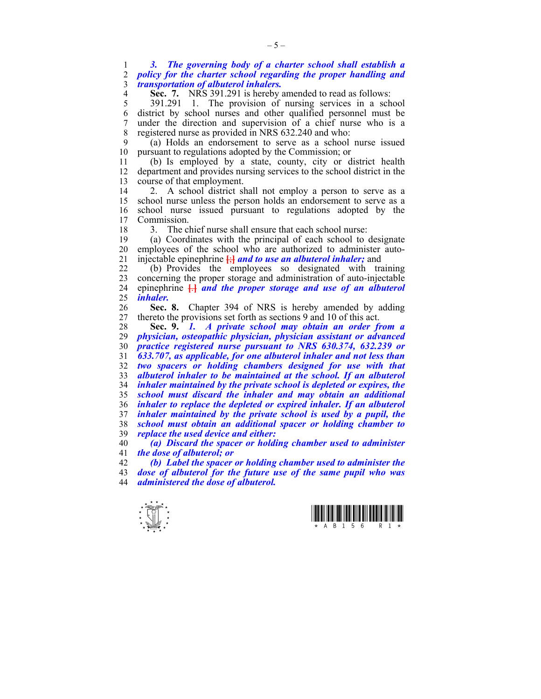1 *3. The governing body of a charter school shall establish a*  2 *policy for the charter school regarding the proper handling and*  3 *transportation of albuterol inhalers.* 

**Sec. 7.** NRS 391.291 is hereby amended to read as follows:<br>5 391.291 1. The provision of nursing services in a sch

5 391.291 1. The provision of nursing services in a school 6 district by school nurses and other qualified personnel must be 7 under the direction and supervision of a chief nurse who is a 8 registered nurse as provided in NRS 632.240 and who:

9 (a) Holds an endorsement to serve as a school nurse issued pursuant to regulations adopted by the Commission; or

11 (b) Is employed by a state, county, city or district health 12 department and provides nursing services to the school district in the 13 course of that employment.

14 2. A school district shall not employ a person to serve as a 15 school nurse unless the person holds an endorsement to serve as a 16 school nurse issued pursuant to regulations adopted by the 17 Commission Commission

18 3. The chief nurse shall ensure that each school nurse:

19 (a) Coordinates with the principal of each school to designate 20 employees of the school who are authorized to administer auto-21 injectable epinephrine **[**;**]** *and to use an albuterol inhaler;* and

22 (b) Provides the employees so designated with training 23 concerning the proper storage and administration of auto-injectable 24 epinephrine **[**.**]** *and the proper storage and use of an albuterol*  25 *inhaler.* 

26 **Sec. 8.** Chapter 394 of NRS is hereby amended by adding 27 thereto the provisions set forth as sections 9 and 10 of this act.

**Sec. 9.** *1. A private school may obtain an order from a physician, osteopathic physician, physician assistant or advanced practice registered nurse pursuant to NRS 630.374, 632.239 or 633.707, as applicable, for one albuterol inhaler and not less than two spacers or holding chambers designed for use with that albuterol inhaler to be maintained at the school. If an albuterol inhaler maintained by the private school is depleted or expires, the school must discard the inhaler and may obtain an additional inhaler to replace the depleted or expired inhaler. If an albuterol inhaler maintained by the private school is used by a pupil, the school must obtain an additional spacer or holding chamber to replace the used device and either:* 

40 *(a) Discard the spacer or holding chamber used to administer*  41 *the dose of albuterol; or* 

42 *(b) Label the spacer or holding chamber used to administer the*  43 *dose of albuterol for the future use of the same pupil who was*  44 *administered the dose of albuterol.* 



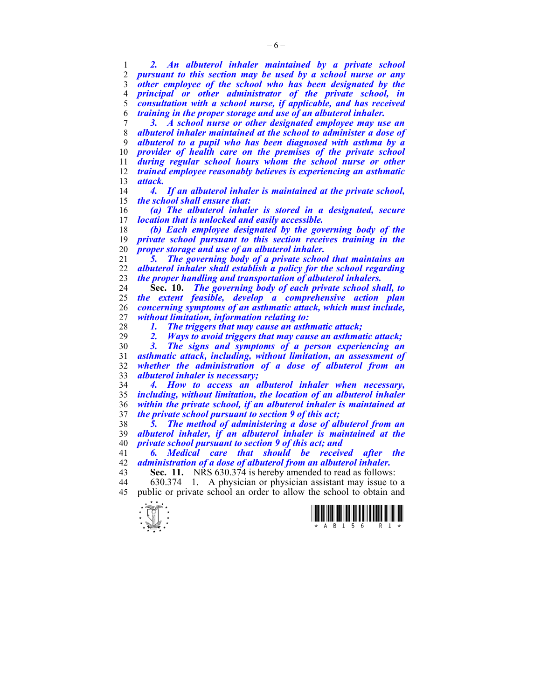*2. An albuterol inhaler maintained by a private school pursuant to this section may be used by a school nurse or any other employee of the school who has been designated by the principal or other administrator of the private school, in consultation with a school nurse, if applicable, and has received training in the proper storage and use of an albuterol inhaler.* 

*3. A school nurse or other designated employee may use an albuterol inhaler maintained at the school to administer a dose of albuterol to a pupil who has been diagnosed with asthma by a provider of health care on the premises of the private school during regular school hours whom the school nurse or other trained employee reasonably believes is experiencing an asthmatic attack.* 

*4. If an albuterol inhaler is maintained at the private school, the school shall ensure that:* 

*(a) The albuterol inhaler is stored in a designated, secure location that is unlocked and easily accessible.* 

*(b) Each employee designated by the governing body of the private school pursuant to this section receives training in the proper storage and use of an albuterol inhaler.* 

*5. The governing body of a private school that maintains an albuterol inhaler shall establish a policy for the school regarding the proper handling and transportation of albuterol inhalers.* 

**Sec. 10.** *The governing body of each private school shall, to the extent feasible, develop a comprehensive action plan concerning symptoms of an asthmatic attack, which must include, without limitation, information relating to:* 

*1. The triggers that may cause an asthmatic attack; 2. Ways to avoid triggers that may cause an asthmatic attack;* 

*3. The signs and symptoms of a person experiencing an asthmatic attack, including, without limitation, an assessment of whether the administration of a dose of albuterol from an albuterol inhaler is necessary;* 

*4. How to access an albuterol inhaler when necessary, including, without limitation, the location of an albuterol inhaler within the private school, if an albuterol inhaler is maintained at the private school pursuant to section 9 of this act;* 

*5. The method of administering a dose of albuterol from an albuterol inhaler, if an albuterol inhaler is maintained at the private school pursuant to section 9 of this act; and* 

*6. Medical care that should be received after the administration of a dose of albuterol from an albuterol inhaler.* 

**Sec. 11.** NRS 630.374 is hereby amended to read as follows:

44 630.374 1. A physician or physician assistant may issue to a 45 public or private school an order to allow the school to obtain and

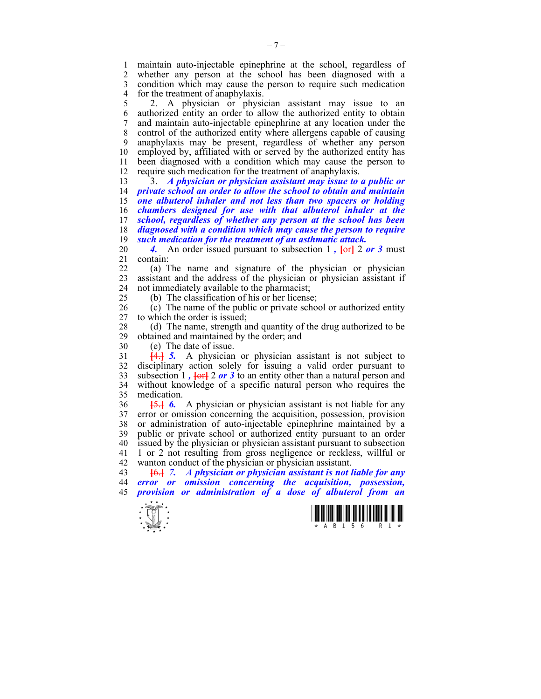1 maintain auto-injectable epinephrine at the school, regardless of 2 whether any person at the school has been diagnosed with a whether any person at the school has been diagnosed with a 3 condition which may cause the person to require such medication 4 for the treatment of anaphylaxis.<br>5 2. A physician or physic

5 2. A physician or physician assistant may issue to an 6 authorized entity an order to allow the authorized entity to obtain 7 and maintain auto-injectable epinephrine at any location under the 8 control of the authorized entity where allergens capable of causing 9 anaphylaxis may be present, regardless of whether any person 10 employed by, affiliated with or served by the authorized entity has 11 been diagnosed with a condition which may cause the person to 12 require such medication for the treatment of anaphylaxis.

13 3. *A physician or physician assistant may issue to a public or private school an order to allow the school to obtain and maintain one albuterol inhaler and not less than two spacers or holding chambers designed for use with that albuterol inhaler at the school, regardless of whether any person at the school has been diagnosed with a condition which may cause the person to require such medication for the treatment of an asthmatic attack.*

20 *4.* An order issued pursuant to subsection 1 *,* **[**or**]** 2 *or 3* must 21 contain:

22 (a) The name and signature of the physician or physician 23 assistant and the address of the physician or physician assistant if 24 not immediately available to the pharmacist;

25 (b) The classification of his or her license;

26 (c) The name of the public or private school or authorized entity 27 to which the order is issued;

28 (d) The name, strength and quantity of the drug authorized to be obtained and maintained by the order: and obtained and maintained by the order; and

30 (e) The date of issue.

31 **[**4.**]** *5.* A physician or physician assistant is not subject to 32 disciplinary action solely for issuing a valid order pursuant to 33 subsection 1 *,* **[**or**]** 2 *or 3* to an entity other than a natural person and 34 without knowledge of a specific natural person who requires the 35 medication.

36 **[**5.**]** *6.* A physician or physician assistant is not liable for any 37 error or omission concerning the acquisition, possession, provision 38 or administration of auto-injectable epinephrine maintained by a 39 public or private school or authorized entity pursuant to an order 40 issued by the physician or physician assistant pursuant to subsection 41 1 or 2 not resulting from gross negligence or reckless, willful or 42 wanton conduct of the physician or physician assistant.

43 **[**6.**]** *7. A physician or physician assistant is not liable for any*  44 *error or omission concerning the acquisition, possession,*  45 *provision or administration of a dose of albuterol from an* 



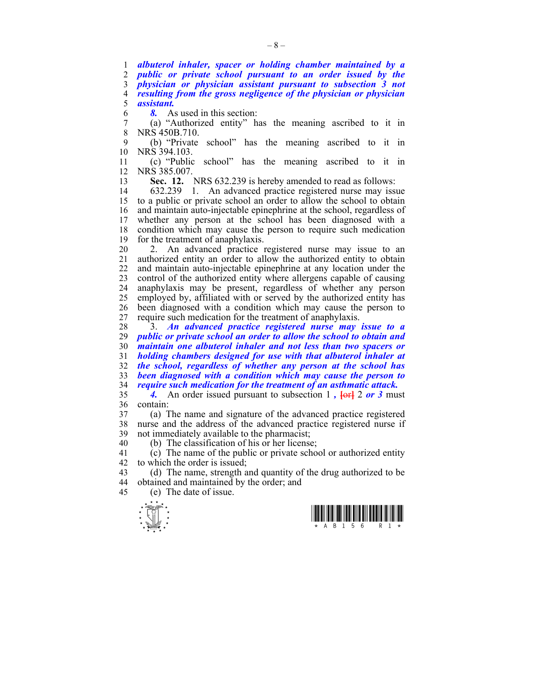*albuterol inhaler, spacer or holding chamber maintained by a public or private school pursuant to an order issued by the physician or physician assistant pursuant to subsection 3 not resulting from the gross negligence of the physician or physician assistant.* 

6 *8.* As used in this section:

7 (a) "Authorized entity" has the meaning ascribed to it in 8 NRS 450B.710.

9 (b) "Private school" has the meaning ascribed to it in 10 NRS 394.103.

11 (c) "Public school" has the meaning ascribed to it in 12 NRS 385.007.

13 **Sec. 12.** NRS 632.239 is hereby amended to read as follows:

14 632.239 1. An advanced practice registered nurse may issue 15 to a public or private school an order to allow the school to obtain 16 and maintain auto-injectable epinephrine at the school, regardless of 17 whether any person at the school has been diagnosed with a 18 condition which may cause the person to require such medication 19 for the treatment of anaphylaxis.

20 2. An advanced practice registered nurse may issue to an 21 authorized entity an order to allow the authorized entity to obtain 22 and maintain auto-injectable epinephrine at any location under the 23 control of the authorized entity where allergens capable of causing 24 anaphylaxis may be present, regardless of whether any person 25 employed by, affiliated with or served by the authorized entity has 26 been diagnosed with a condition which may cause the person to 27 require such medication for the treatment of anaphylaxis.

28 3. *An advanced practice registered nurse may issue to a public or private school an order to allow the school to obtain and maintain one albuterol inhaler and not less than two spacers or holding chambers designed for use with that albuterol inhaler at the school, regardless of whether any person at the school has been diagnosed with a condition which may cause the person to require such medication for the treatment of an asthmatic attack.* 

35 *4.* An order issued pursuant to subsection 1 *,* **[**or**]** 2 *or 3* must 36 contain:

37 (a) The name and signature of the advanced practice registered 38 nurse and the address of the advanced practice registered nurse if 39 not immediately available to the pharmacist;

40 (b) The classification of his or her license;

41 (c) The name of the public or private school or authorized entity 42 to which the order is issued;

43 (d) The name, strength and quantity of the drug authorized to be 44 obtained and maintained by the order; and

45 (e) The date of issue.



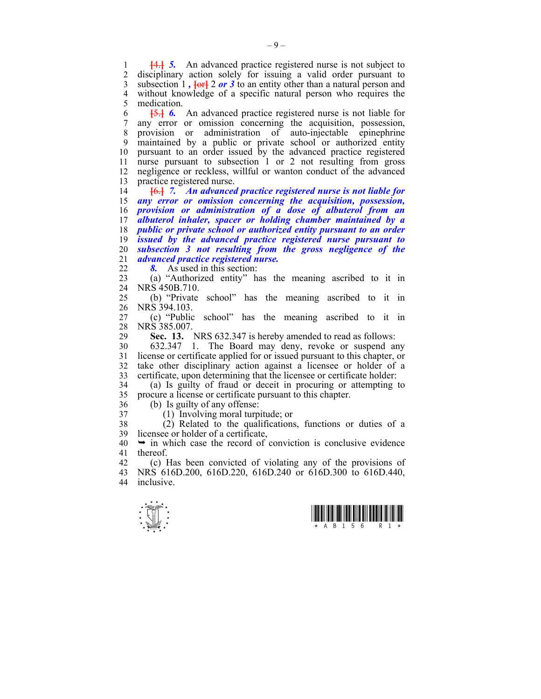1 **[**4.**]** *5.* An advanced practice registered nurse is not subject to disciplinary action solely for issuing a valid order pursuant to 3 subsection 1 *,* **[**or**]** 2 *or 3* to an entity other than a natural person and 4 without knowledge of a specific natural person who requires the medication

6 **[**5.**]** *6.* An advanced practice registered nurse is not liable for 7 any error or omission concerning the acquisition, possession, 8 provision or administration of auto-injectable epinephrine 9 maintained by a public or private school or authorized entity 10 pursuant to an order issued by the advanced practice registered 11 nurse pursuant to subsection 1 or 2 not resulting from gross 12 negligence or reckless, willful or wanton conduct of the advanced 13 practice registered nurse.

**[**6.**]** *7. An advanced practice registered nurse is not liable for any error or omission concerning the acquisition, possession, provision or administration of a dose of albuterol from an albuterol inhaler, spacer or holding chamber maintained by a public or private school or authorized entity pursuant to an order issued by the advanced practice registered nurse pursuant to subsection 3 not resulting from the gross negligence of the advanced practice registered nurse.* 

22 *8.* As used in this section:

23 (a) "Authorized entity" has the meaning ascribed to it in 24 NRS 450B.710.

25 (b) "Private school" has the meaning ascribed to it in 26 NRS 394.103.

27 (c) "Public school" has the meaning ascribed to it in 28 NRS 385.007.<br>29 **Sec. 13.** 

**Sec. 13.** NRS 632.347 is hereby amended to read as follows:

30 632.347 1. The Board may deny, revoke or suspend any 31 license or certificate applied for or issued pursuant to this chapter, or 32 take other disciplinary action against a licensee or holder of a 33 certificate, upon determining that the licensee or certificate holder:

34 (a) Is guilty of fraud or deceit in procuring or attempting to 35 procure a license or certificate pursuant to this chapter.

36 (b) Is guilty of any offense:

37 (1) Involving moral turpitude; or

38 (2) Related to the qualifications, functions or duties of a 39 licensee or holder of a certificate,

 $40 \rightarrow \infty$  in which case the record of conviction is conclusive evidence 41 thereof.

42 (c) Has been convicted of violating any of the provisions of 43 NRS 616D.200, 616D.220, 616D.240 or 616D.300 to 616D.440, 44 inclusive.



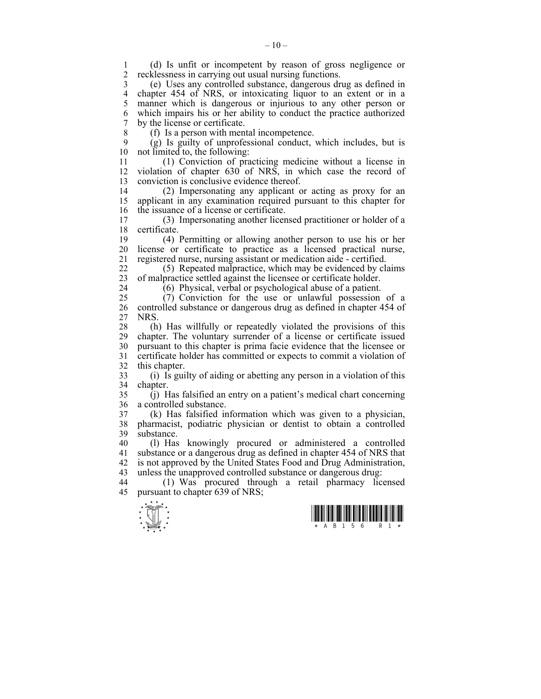1 (d) Is unfit or incompetent by reason of gross negligence or recklessness in carrying out usual nursing functions.

3 (e) Uses any controlled substance, dangerous drug as defined in 4 chapter 454 of NRS, or intoxicating liquor to an extent or in a 5 manner which is dangerous or injurious to any other person or 6 which impairs his or her ability to conduct the practice authorized 7 by the license or certificate.

8 (f) Is a person with mental incompetence.

9 (g) Is guilty of unprofessional conduct, which includes, but is 10 not limited to, the following:

11 (1) Conviction of practicing medicine without a license in 12 violation of chapter 630 of NRS, in which case the record of 13 conviction is conclusive evidence thereof.

14 (2) Impersonating any applicant or acting as proxy for an 15 applicant in any examination required pursuant to this chapter for 16 the issuance of a license or certificate.

17 (3) Impersonating another licensed practitioner or holder of a 18 certificate.

19 (4) Permitting or allowing another person to use his or her 20 license or certificate to practice as a licensed practical nurse, 21 registered nurse, nursing assistant or medication aide - certified.

22 (5) Repeated malpractice, which may be evidenced by claims 23 of malpractice settled against the licensee or certificate holder.

24 (6) Physical, verbal or psychological abuse of a patient.

25 (7) Conviction for the use or unlawful possession of a 26 controlled substance or dangerous drug as defined in chapter 454 of 27 NRS.

28 (h) Has willfully or repeatedly violated the provisions of this 29 chapter. The voluntary surrender of a license or certificate issued 30 pursuant to this chapter is prima facie evidence that the licensee or 31 certificate holder has committed or expects to commit a violation of 32 this chapter.

33 (i) Is guilty of aiding or abetting any person in a violation of this 34 chapter.

35 (j) Has falsified an entry on a patient's medical chart concerning 36 a controlled substance.

37 (k) Has falsified information which was given to a physician, pharmacist, podiatric physician or dentist to obtain a controlled 39 substance.

40 (l) Has knowingly procured or administered a controlled 41 substance or a dangerous drug as defined in chapter 454 of NRS that 42 is not approved by the United States Food and Drug Administration, 43 unless the unapproved controlled substance or dangerous drug:

44 (1) Was procured through a retail pharmacy licensed 45 pursuant to chapter 639 of NRS;



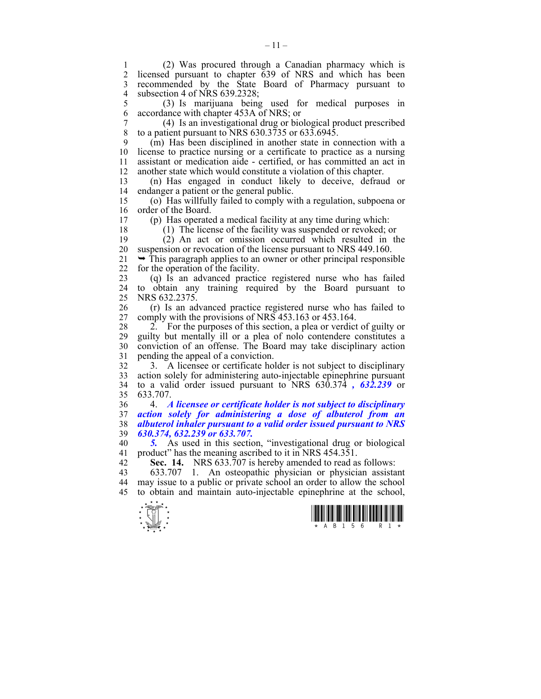1 (2) Was procured through a Canadian pharmacy which is licensed pursuant to chapter 639 of NRS and which has been 3 recommended by the State Board of Pharmacy pursuant to 4 subsection 4 of NRS 639.2328;<br>5 (3) Is marijuana being

5 (3) Is marijuana being used for medical purposes in 6 accordance with chapter 453A of NRS; or

7 (4) Is an investigational drug or biological product prescribed 8 to a patient pursuant to NRS 630.3735 or 633.6945.

9 (m) Has been disciplined in another state in connection with a 10 license to practice nursing or a certificate to practice as a nursing 11 assistant or medication aide - certified, or has committed an act in 12 another state which would constitute a violation of this chapter.

13 (n) Has engaged in conduct likely to deceive, defraud or 14 endanger a patient or the general public.

15 (o) Has willfully failed to comply with a regulation, subpoena or 16 order of the Board.<br>17 (n) Has operate

17 (p) Has operated a medical facility at any time during which:

18 (1) The license of the facility was suspended or revoked; or

19 (2) An act or omission occurred which resulted in the 20 suspension or revocation of the license pursuant to NRS 449.160.

 $21 \rightarrow$  This paragraph applies to an owner or other principal responsible 22 for the operation of the facility.

23 (q) Is an advanced practice registered nurse who has failed 24 to obtain any training required by the Board pursuant to 25 NRS 632.2375.

26 (r) Is an advanced practice registered nurse who has failed to 27 comply with the provisions of NRS 453.163 or 453.164.

28 2. For the purposes of this section, a plea or verdict of guilty or 29 guilty but mentally ill or a plea of nolo contendere constitutes a 30 conviction of an offense. The Board may take disciplinary action 31 pending the appeal of a conviction.

32 3. A licensee or certificate holder is not subject to disciplinary 33 action solely for administering auto-injectable epinephrine pursuant 34 to a valid order issued pursuant to NRS 630.374 *, 632.239* or 35 633.707.

36 4. *A licensee or certificate holder is not subject to disciplinary action solely for administering a dose of albuterol from an albuterol inhaler pursuant to a valid order issued pursuant to NRS 630.374, 632.239 or 633.707.* 

40 *5.* As used in this section, "investigational drug or biological 41 product" has the meaning ascribed to it in NRS 454.351.

42 **Sec. 14.** NRS 633.707 is hereby amended to read as follows:

43 633.707 1. An osteopathic physician or physician assistant 44 may issue to a public or private school an order to allow the school 45 to obtain and maintain auto-injectable epinephrine at the school,





– 11 –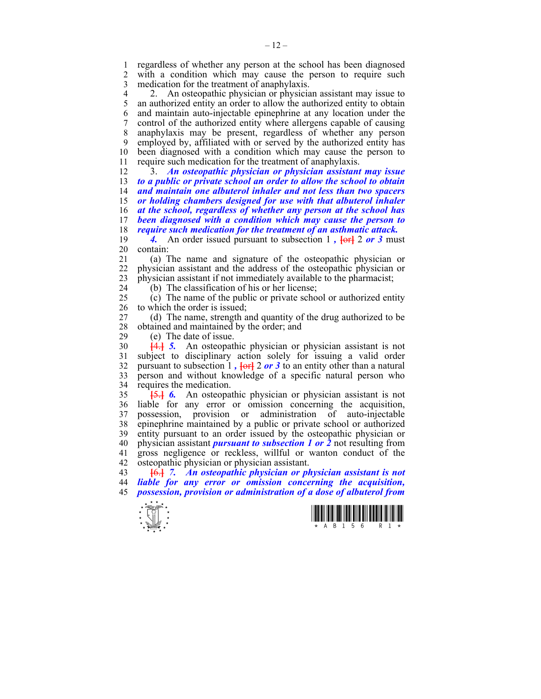1 regardless of whether any person at the school has been diagnosed<br>2 with a condition which may cause the person to require such with a condition which may cause the person to require such 3 medication for the treatment of anaphylaxis.

4 2. An osteopathic physician or physician assistant may issue to 5 an authorized entity an order to allow the authorized entity to obtain an authorized entity an order to allow the authorized entity to obtain 6 and maintain auto-injectable epinephrine at any location under the 7 control of the authorized entity where allergens capable of causing 8 anaphylaxis may be present, regardless of whether any person 9 employed by, affiliated with or served by the authorized entity has 10 been diagnosed with a condition which may cause the person to 11 require such medication for the treatment of anaphylaxis.

12 3. *An osteopathic physician or physician assistant may issue to a public or private school an order to allow the school to obtain and maintain one albuterol inhaler and not less than two spacers or holding chambers designed for use with that albuterol inhaler at the school, regardless of whether any person at the school has been diagnosed with a condition which may cause the person to require such medication for the treatment of an asthmatic attack.* 

19 *4.* An order issued pursuant to subsection 1 *,* **[**or**]** 2 *or 3* must 20 contain:

21 (a) The name and signature of the osteopathic physician or 22 physician assistant and the address of the osteopathic physician or 23 physician assistant if not immediately available to the pharmacist;

24 (b) The classification of his or her license; 25 (c) The name of the public or private school or authorized entity

26 to which the order is issued;

27 (d) The name, strength and quantity of the drug authorized to be 28 obtained and maintained by the order; and  $(29 \t\t (e)$  The date of issue

 $(e)$  The date of issue.

30 **[**4.**]** *5.* An osteopathic physician or physician assistant is not 31 subject to disciplinary action solely for issuing a valid order 32 pursuant to subsection 1 *,* **[**or**]** 2 *or 3* to an entity other than a natural 33 person and without knowledge of a specific natural person who 34 requires the medication.

35 **[**5.**]** *6.* An osteopathic physician or physician assistant is not 36 liable for any error or omission concerning the acquisition, 37 possession, provision or administration of auto-injectable 38 epinephrine maintained by a public or private school or authorized 39 entity pursuant to an order issued by the osteopathic physician or 40 physician assistant *pursuant to subsection 1 or 2* not resulting from 41 gross negligence or reckless, willful or wanton conduct of the 42 osteopathic physician or physician assistant.<br>43  $\overline{44}$  7 An osteopathic physician or pl

43 **[**6.**]** *7. An osteopathic physician or physician assistant is not*  44 *liable for any error or omission concerning the acquisition,*  45 *possession, provision or administration of a dose of albuterol from*